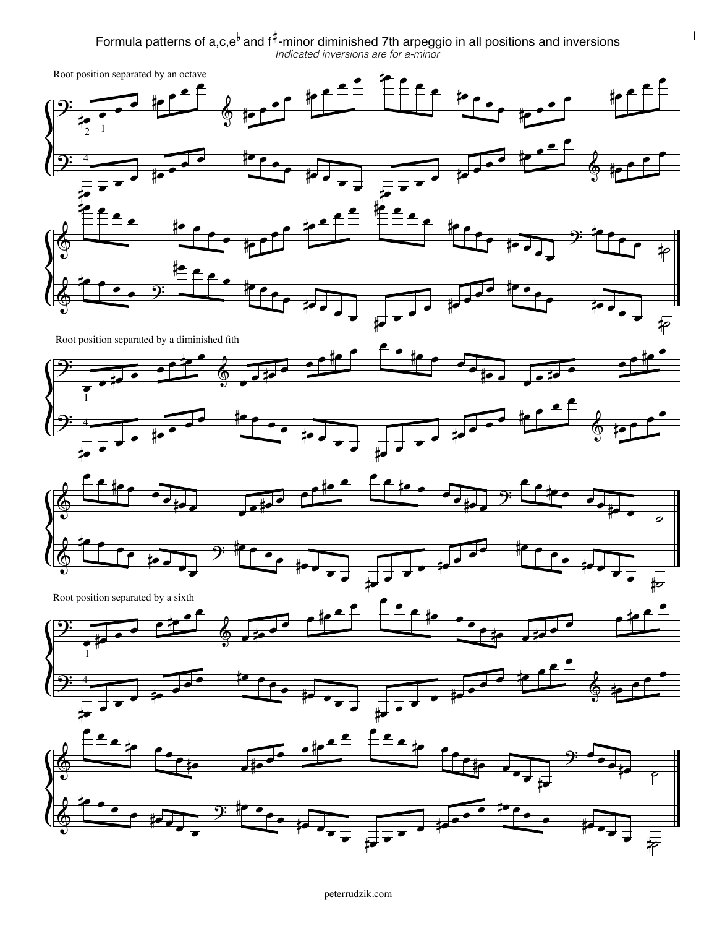Formula patterns of a,c,e $^{\flat}$  and f $^{\sharp}$ -minor diminished 7th arpeggio in all positions and inversions  $1$ *Indicated inversions are for a-minor*  $\frac{1}{2}$ ł.









Root position separated by a sixth



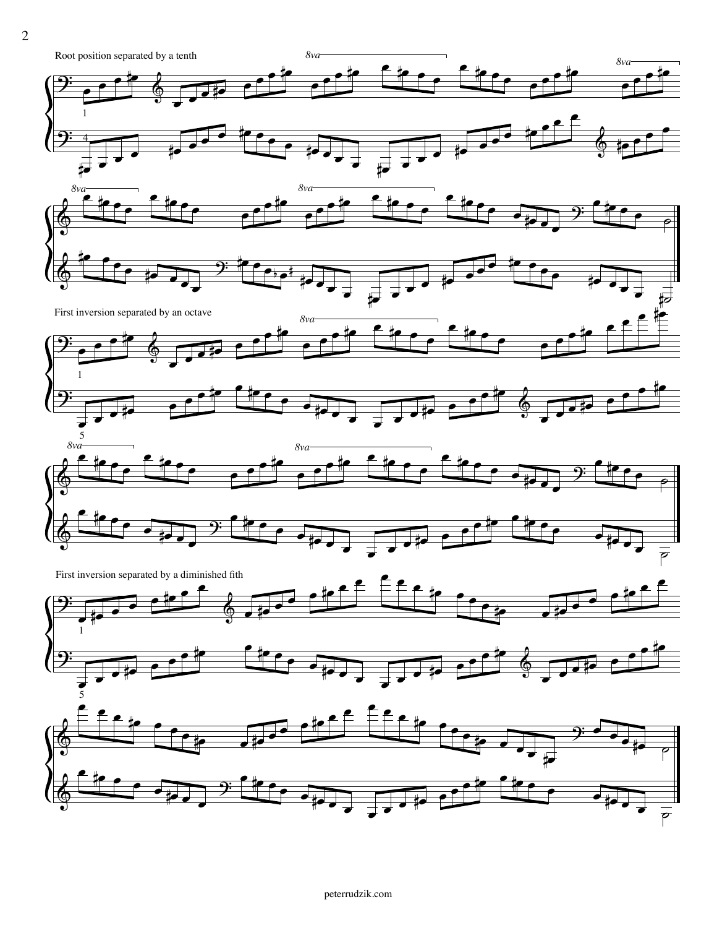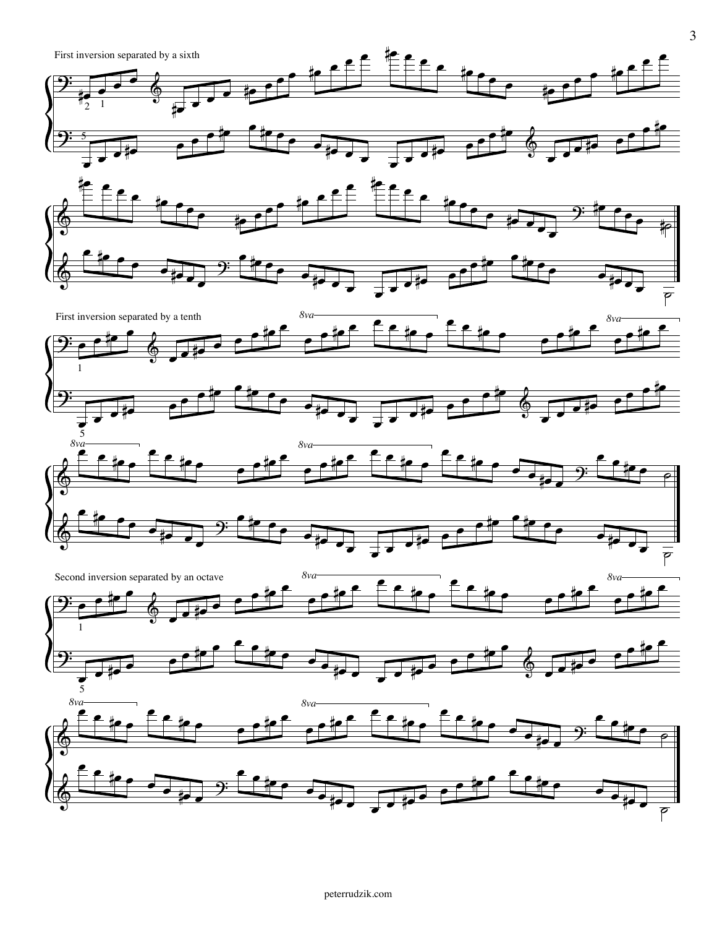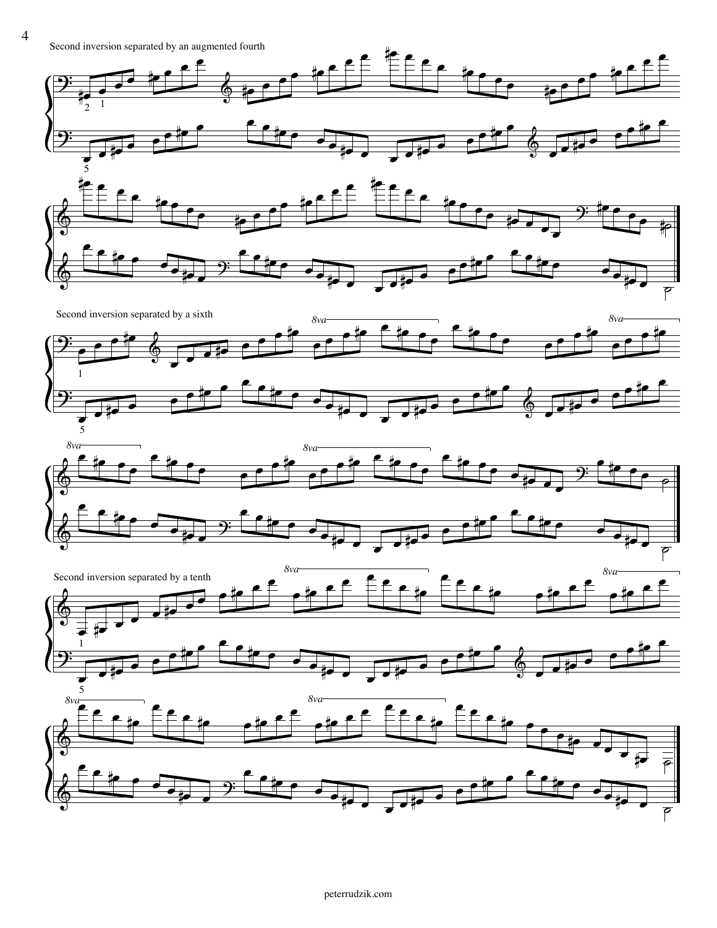Second inversion separated by an augmented fourth







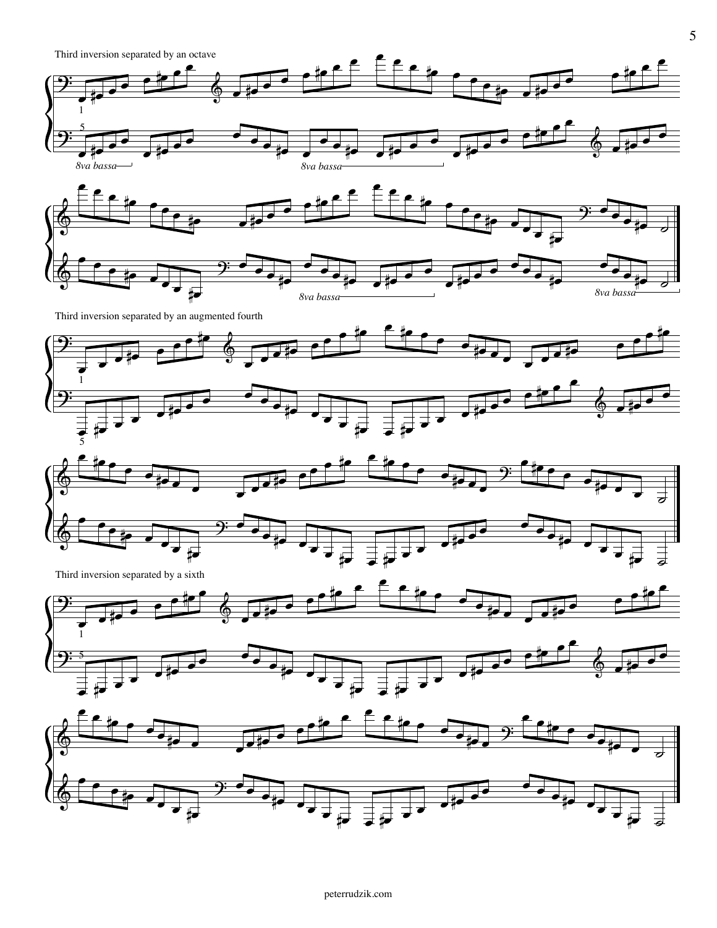



Third inversion separated by an augmented fourth





Third inversion separated by a sixth



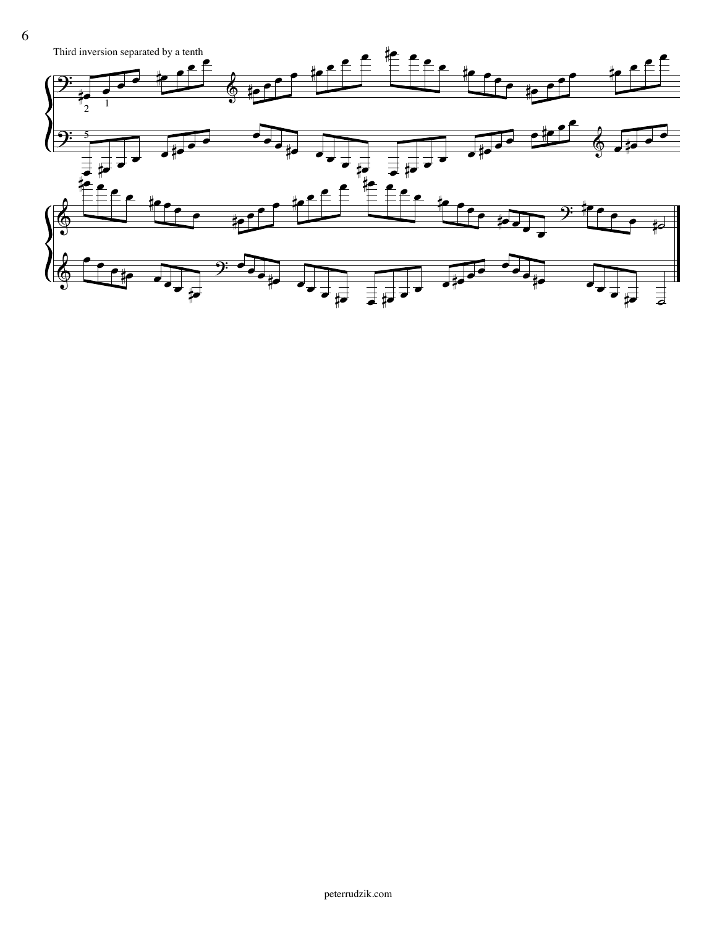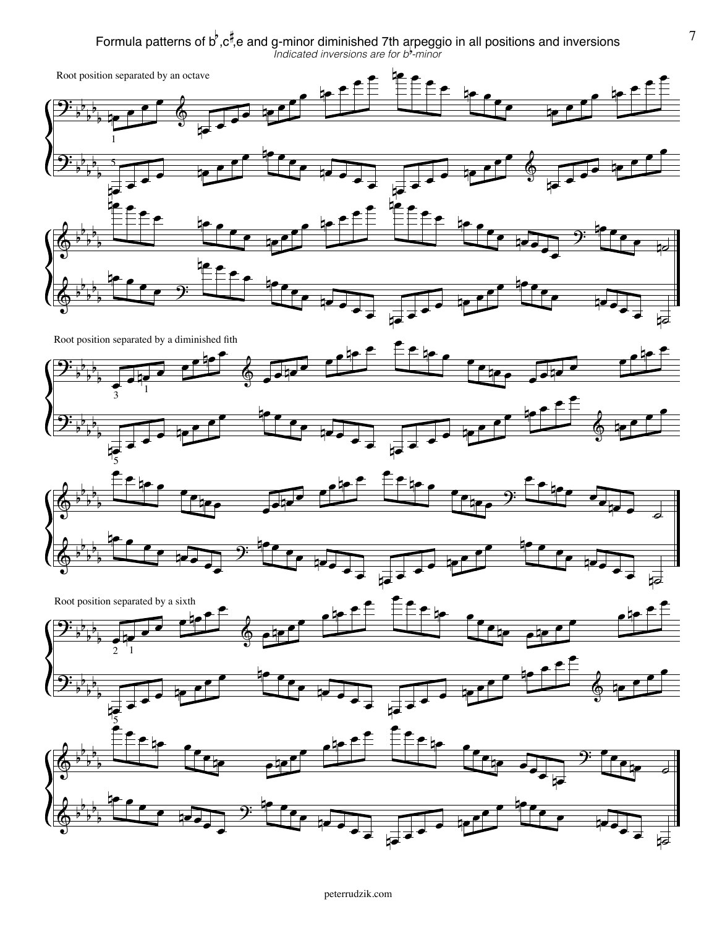Formula patterns of  $\flat$  ,c $\sharp$ e and g-minor diminished 7th arpeggio in all positions and inversions  $1$ *Indicated inversions are for b -minor*  $^{\flat}$  ,c<sup>#</sup>  $\overline{a}$ 









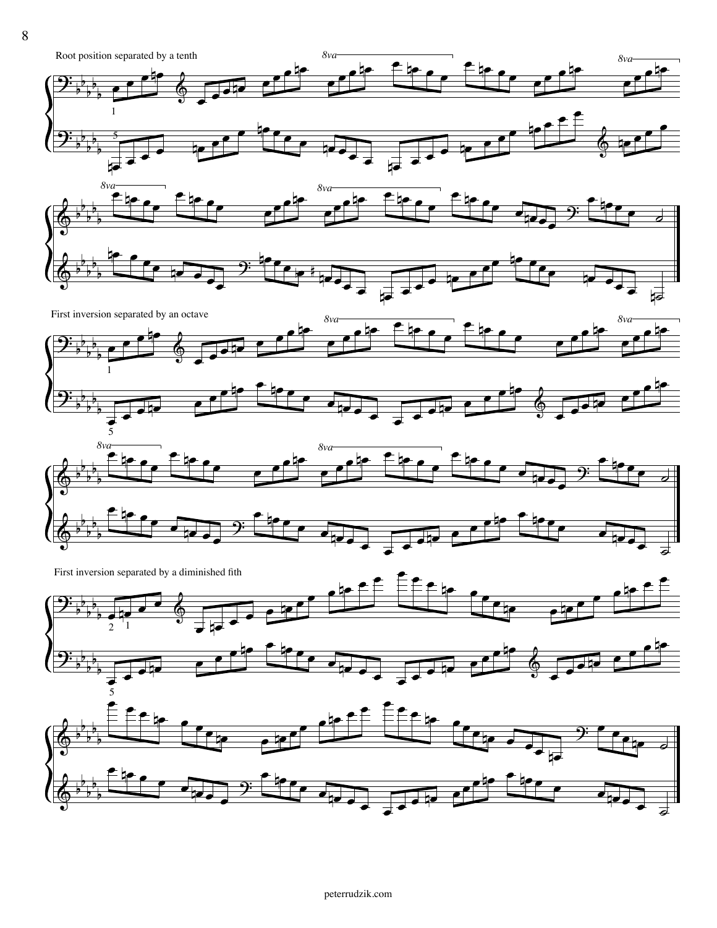

 $\bigoplus$  $\frac{1}{2}$ O b<br>**b**   $\mathbb{P}_{\mathbb{P}}$ 

.

.P..

.

 $\overline{\mathbf{r}}$ 

 $\rightarrow$ 

.

 $\cdot$  .



*8va*

.

. .  $\overline{\phantom{a}}$ 

. . .P.  $\rightarrow$ 

.

.P..

.

 $\pm$ <sup>1</sup>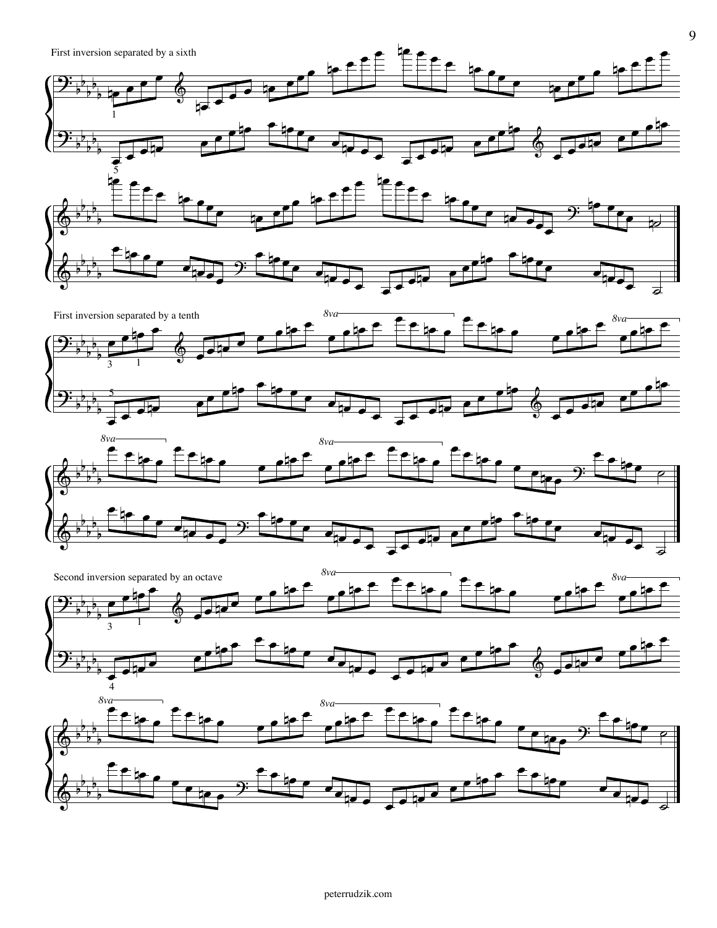







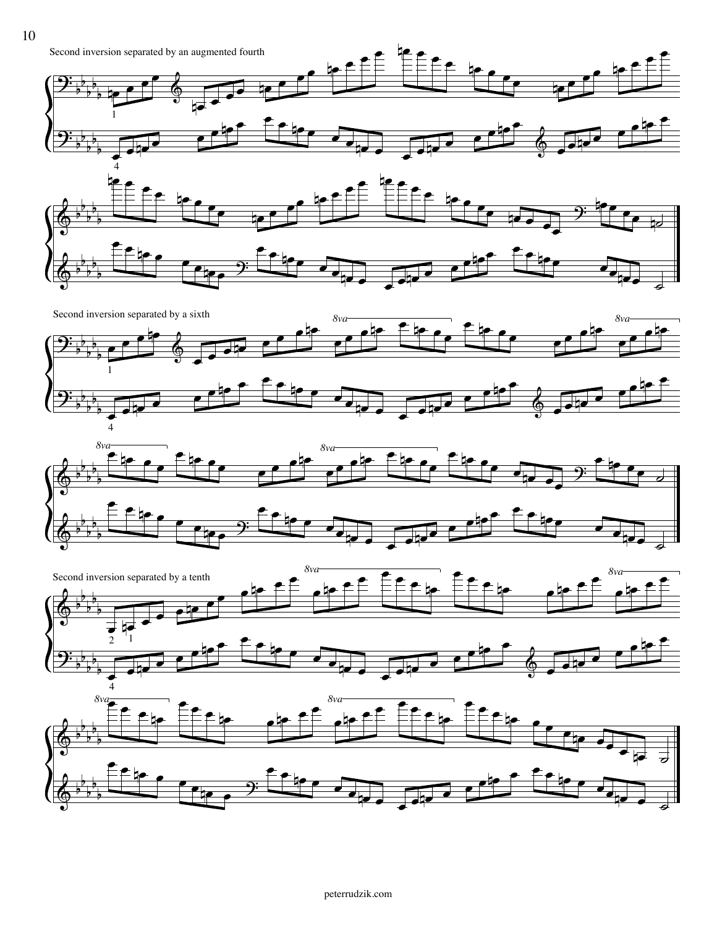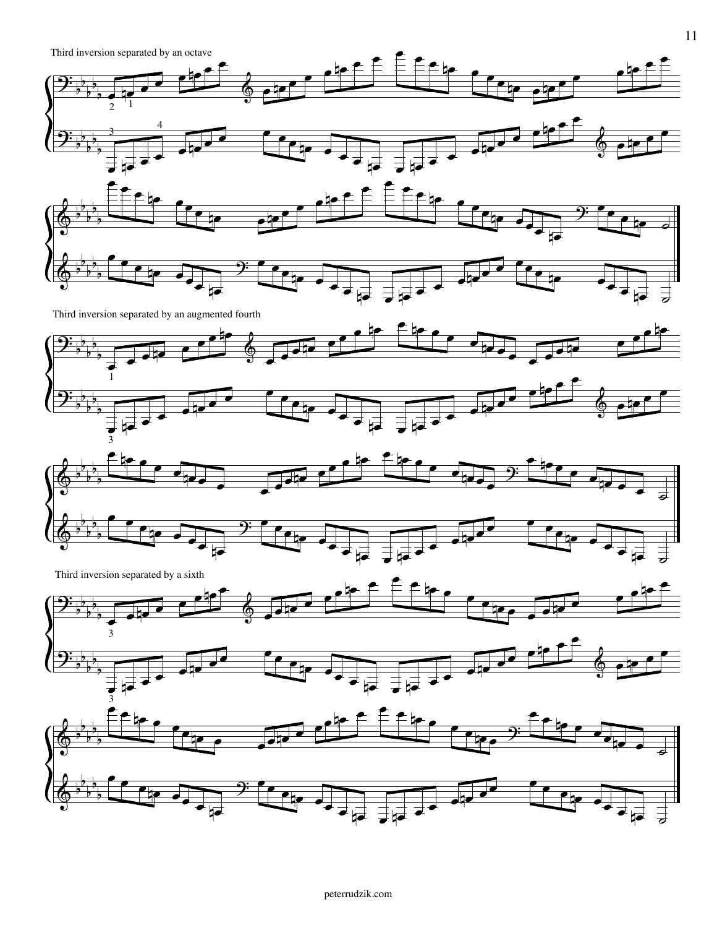

Third inversion separated by an augmented fourth





Third inversion separated by a sixth

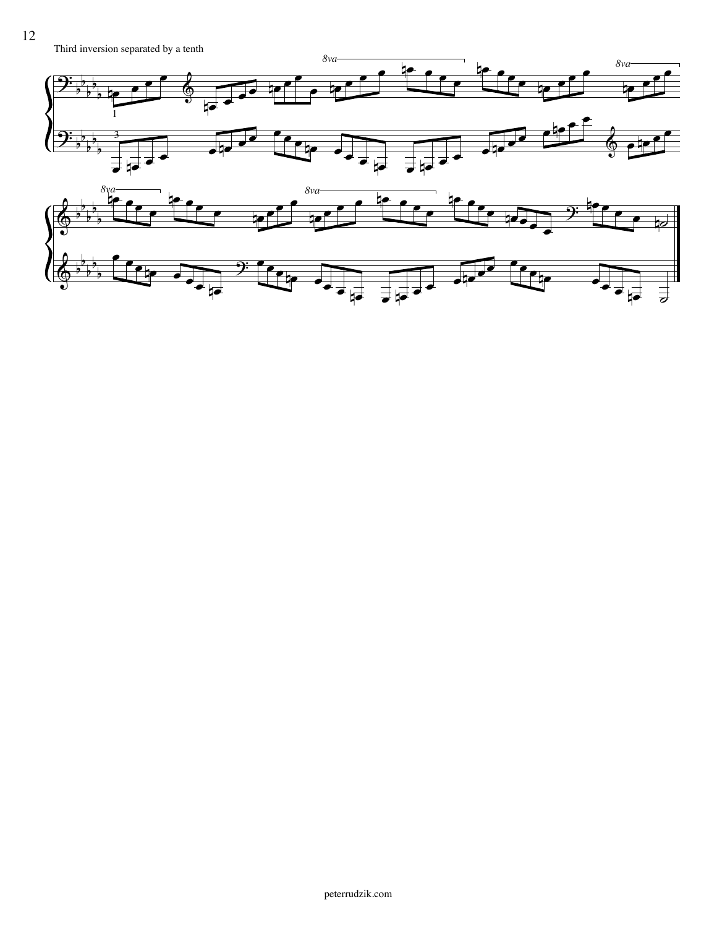12

Third inversion separated by a tenth

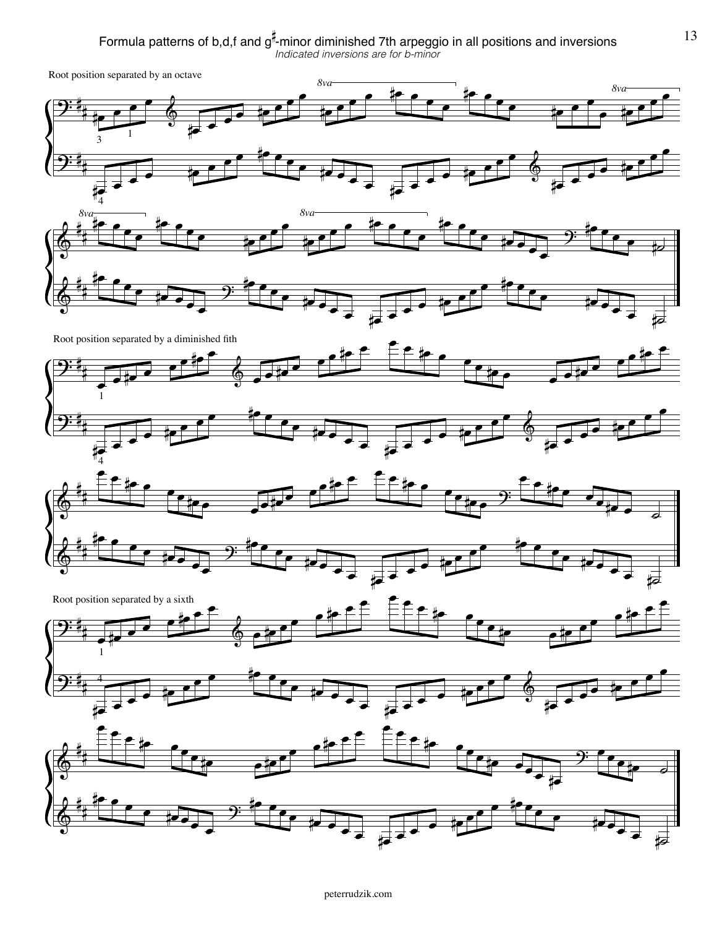## Formula patterns of b,d,f and  $g^*$ -minor diminished 7th arpeggio in all positions and inversions  $13$ *Indicated inversions are for b-minor* H<br>1

Root position separated by an octave

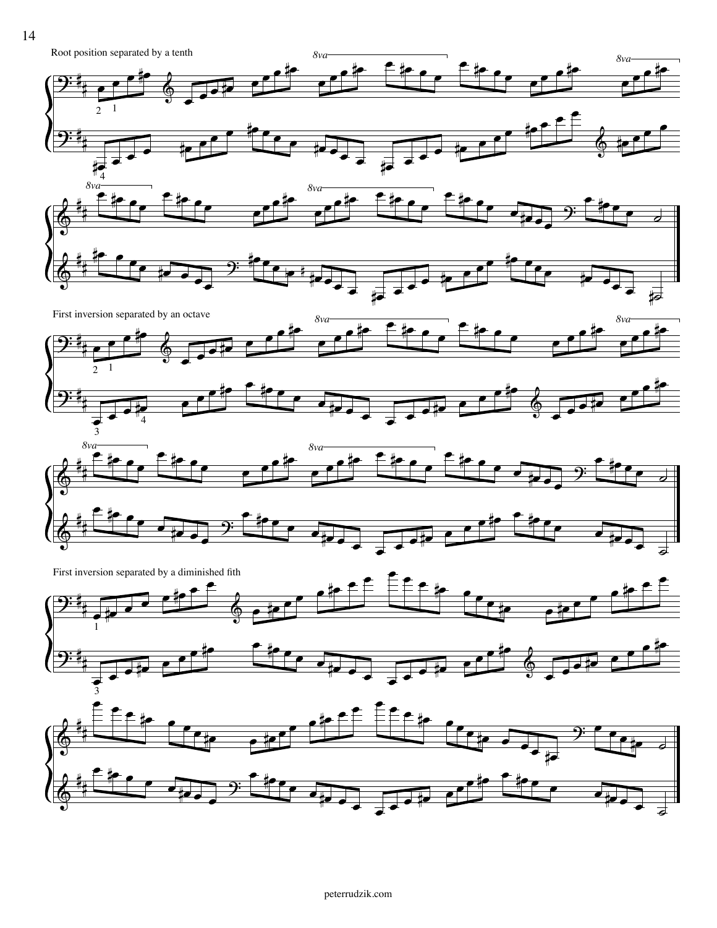

 $\frac{2}{9}$ l<br>1

.

 $\overline{\phantom{a}}$ 

.

 $\overline{\mathbf{r}}$ 

 $\rightarrow$ 

.

 $\overline{\phantom{a}}$ 



.

. .  $\overline{\phantom{a}}$ 

. .  $\mathbin{\overset{\smash{+}}{=}}$   $\rightarrow$ 

.

 $\overline{\phantom{a}}$ 

.

 $\overline{\phantom{a}}$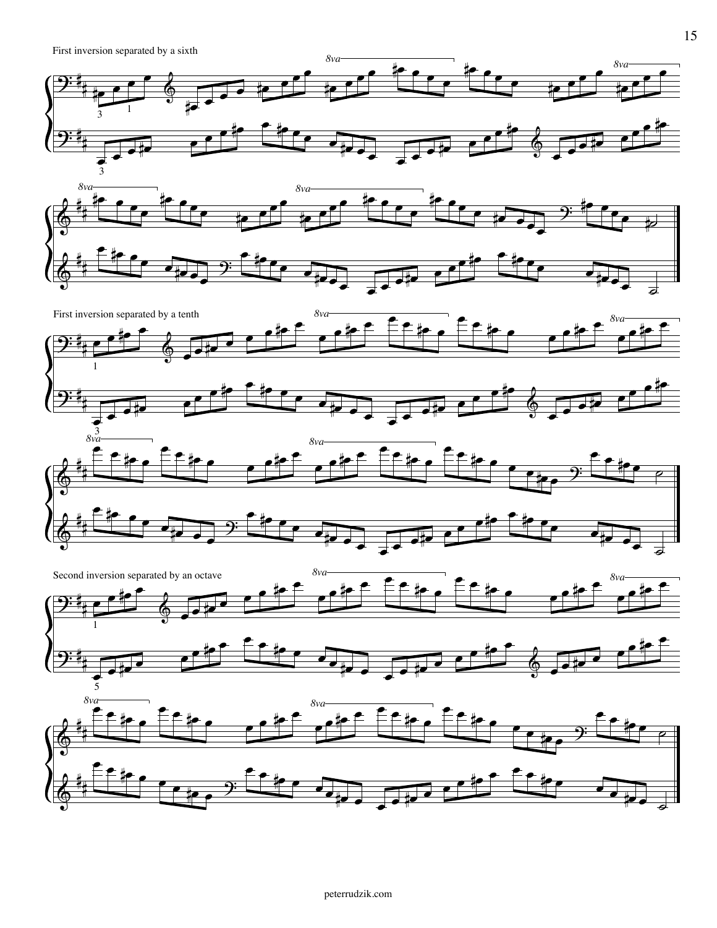First inversion separated by a sixth









.

.



.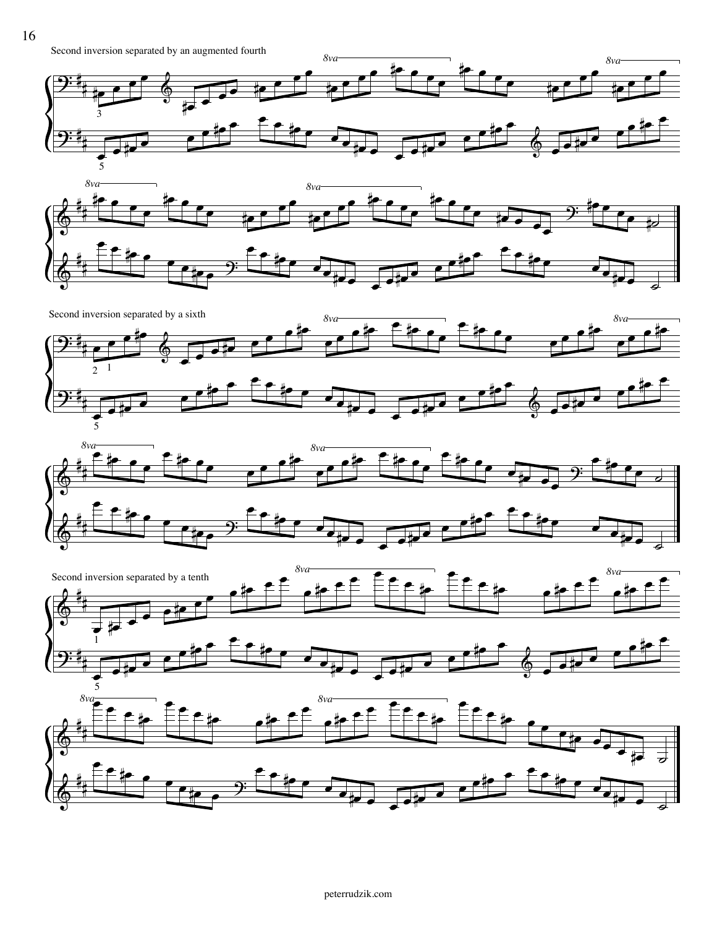Second inversion separated by an augmented fourth









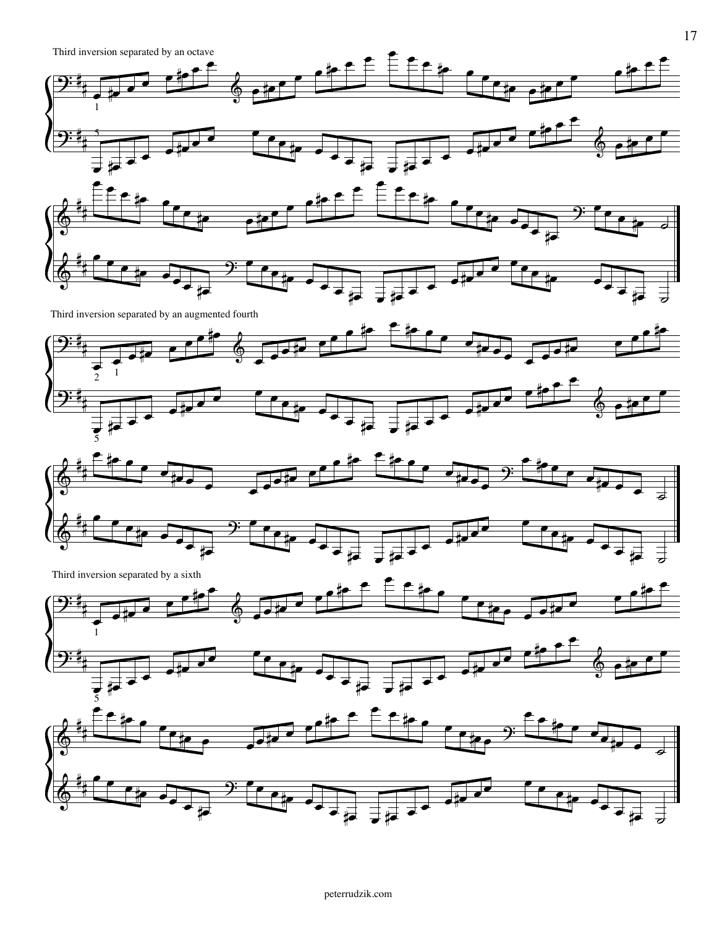



Third inversion separated by an augmented fourth





Third inversion separated by a sixth